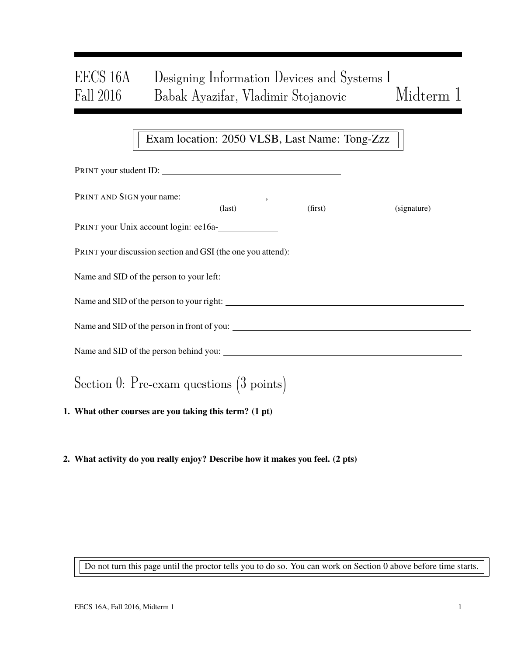# EECS 16A Designing Information Devices and Systems I Fall 2016 Babak Ayazifar, Vladimir Stojanovic Midterm 1

## Exam location: 2050 VLSB, Last Name: Tong-Zzz

| PRINT your student ID:                                 |                 |         |             |  |  |  |
|--------------------------------------------------------|-----------------|---------|-------------|--|--|--|
|                                                        | $\text{(last)}$ | (first) | (signature) |  |  |  |
| PRINT your Unix account login: ee16a-                  |                 |         |             |  |  |  |
|                                                        |                 |         |             |  |  |  |
|                                                        |                 |         |             |  |  |  |
|                                                        |                 |         |             |  |  |  |
| Name and SID of the person in front of you:            |                 |         |             |  |  |  |
|                                                        |                 |         |             |  |  |  |
| Section 0: Pre-exam questions $(3 \text{ points})$     |                 |         |             |  |  |  |
| 1. What other courses are you taking this term? (1 pt) |                 |         |             |  |  |  |

2. What activity do you really enjoy? Describe how it makes you feel. (2 pts)

Do not turn this page until the proctor tells you to do so. You can work on Section 0 above before time starts.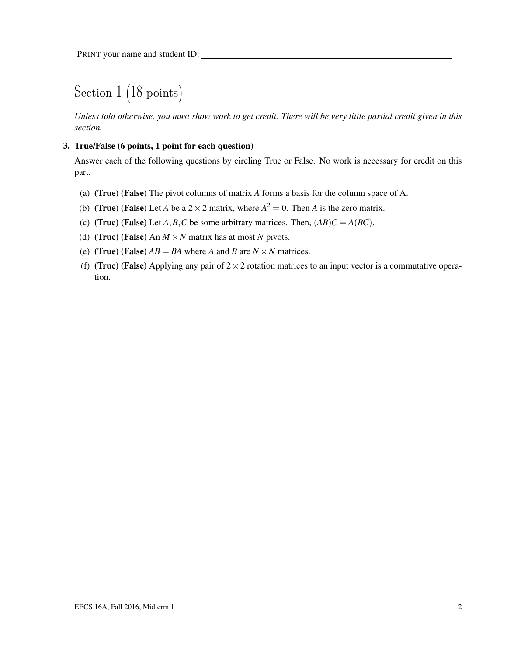## Section 1 (18 points)

*Unless told otherwise, you must show work to get credit. There will be very little partial credit given in this section.*

### 3. True/False (6 points, 1 point for each question)

Answer each of the following questions by circling True or False. No work is necessary for credit on this part.

- (a) (True) (False) The pivot columns of matrix *A* forms a basis for the column space of A.
- (b) (**True**) (False) Let *A* be a  $2 \times 2$  matrix, where  $A^2 = 0$ . Then *A* is the zero matrix.
- (c) (True) (False) Let *A*, *B*, *C* be some arbitrary matrices. Then,  $(AB)C = A(BC)$ .
- (d) **(True) (False)** An  $M \times N$  matrix has at most *N* pivots.
- (e) (True) (False)  $AB = BA$  where *A* and *B* are  $N \times N$  matrices.
- (f) (True) (False) Applying any pair of  $2 \times 2$  rotation matrices to an input vector is a commutative operation.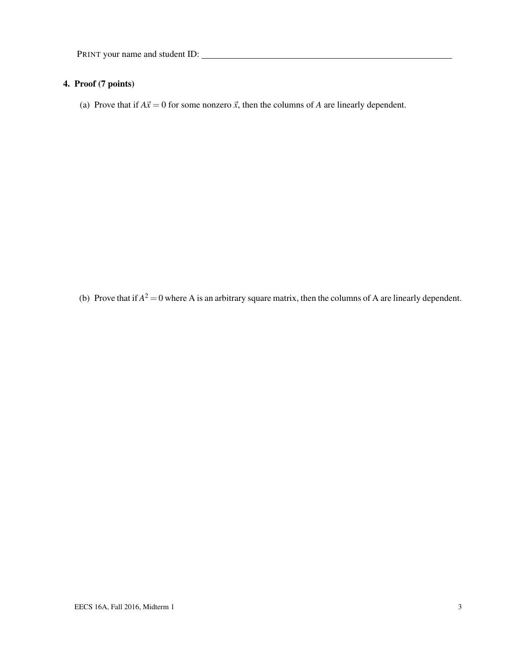## 4. Proof (7 points)

(a) Prove that if  $A\vec{x} = 0$  for some nonzero  $\vec{x}$ , then the columns of *A* are linearly dependent.

(b) Prove that if  $A^2 = 0$  where A is an arbitrary square matrix, then the columns of A are linearly dependent.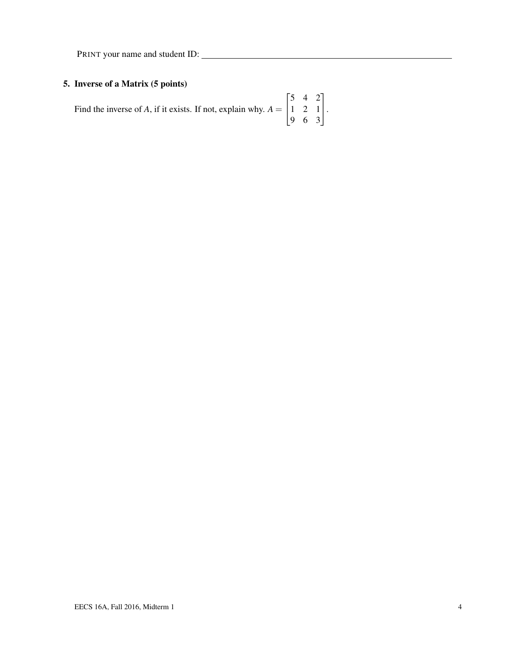## 5. Inverse of a Matrix (5 points)

| Find the inverse of A, if it exists. If not, explain why. $A = \begin{bmatrix} 5 & 4 & 2 \\ 1 & 2 & 1 \\ 9 & 6 & 3 \end{bmatrix}$ . |  |  |
|-------------------------------------------------------------------------------------------------------------------------------------|--|--|
|                                                                                                                                     |  |  |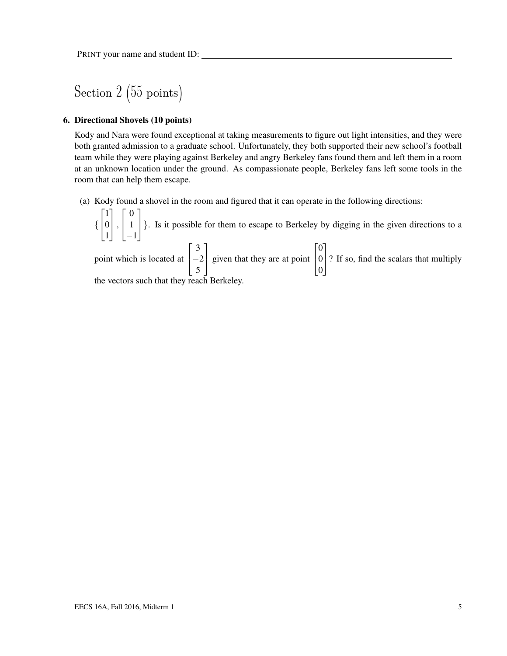Section 2 (55 points)

#### 6. Directional Shovels (10 points)

Kody and Nara were found exceptional at taking measurements to figure out light intensities, and they were both granted admission to a graduate school. Unfortunately, they both supported their new school's football team while they were playing against Berkeley and angry Berkeley fans found them and left them in a room at an unknown location under the ground. As compassionate people, Berkeley fans left some tools in the room that can help them escape.

(a) Kody found a shovel in the room and figured that it can operate in the following directions:

{  $\sqrt{ }$  $\overline{1}$ 1 0 1 1  $\vert$ ,  $\sqrt{ }$  $\overline{1}$ 0 1 −1 1 }. Is it possible for them to escape to Berkeley by digging in the given directions to a

point which is located at  $\sqrt{ }$  $\overline{1}$ 3  $-2$ 5 1 given that they are at point  $\sqrt{ }$  $\overline{1}$  $\boldsymbol{0}$ 0 0 1 ? If so, find the scalars that multiply the vectors such that they reach Berkeley.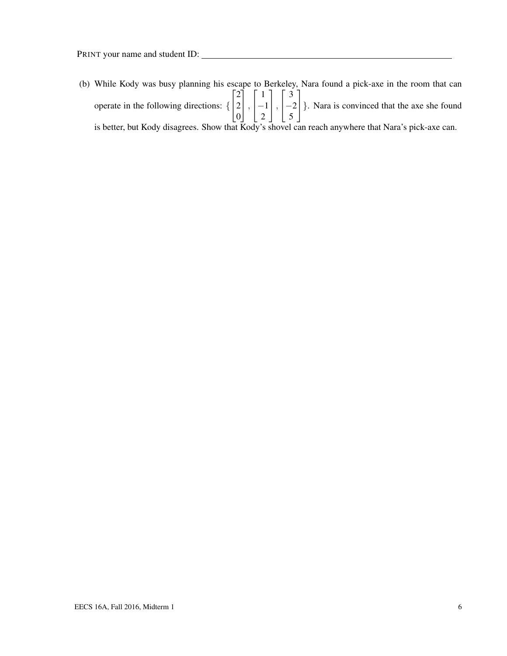(b) While Kody was busy planning his escape to Berkeley, Nara found a pick-axe in the room that can operate in the following directions: {  $\sqrt{ }$  $\overline{1}$ 2 2 0 1  $\vert$ ,  $\sqrt{ }$  $\overline{1}$ 1 −1 2 1  $\vert$ ,  $\sqrt{ }$  $\overline{1}$ 3  $-2$ 5 1 }. Nara is convinced that the axe she found is better, but Kody disagrees. Show that Kody's shovel can reach anywhere that Nara's pick-axe can.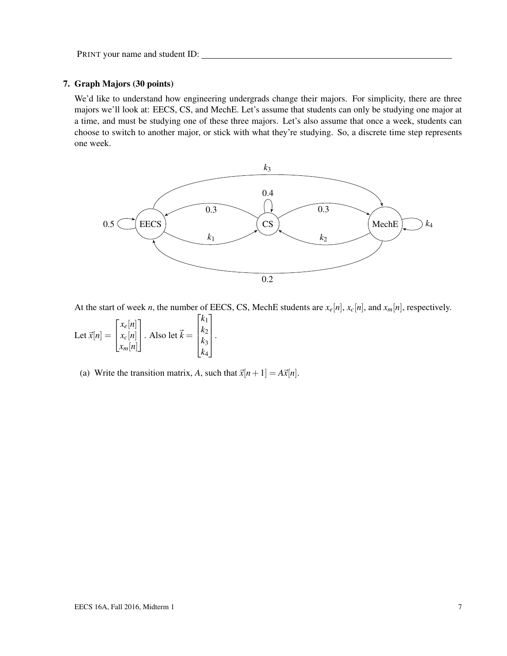### 7. Graph Majors (30 points)

We'd like to understand how engineering undergrads change their majors. For simplicity, there are three majors we'll look at: EECS, CS, and MechE. Let's assume that students can only be studying one major at a time, and must be studying one of these three majors. Let's also assume that once a week, students can choose to switch to another major, or stick with what they're studying. So, a discrete time step represents one week.



At the start of week *n*, the number of EECS, CS, MechE students are  $x_e[n]$ ,  $x_c[n]$ , and  $x_m[n]$ , respectively.

Let 
$$
\vec{x}[n] = \begin{bmatrix} x_e[n] \\ x_c[n] \\ x_m[n] \end{bmatrix}
$$
. Also let  $\vec{k} = \begin{bmatrix} k_1 \\ k_2 \\ k_3 \\ k_4 \end{bmatrix}$ .

(a) Write the transition matrix, *A*, such that  $\vec{x}[n+1] = A\vec{x}[n]$ .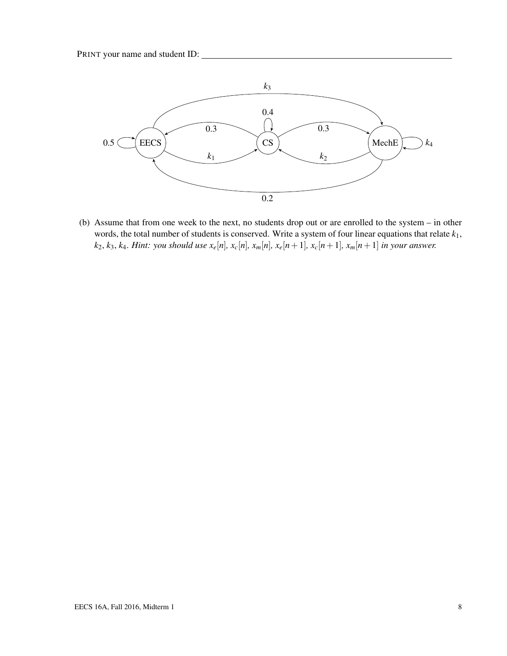

(b) Assume that from one week to the next, no students drop out or are enrolled to the system – in other words, the total number of students is conserved. Write a system of four linear equations that relate *k*1,  $k_2, k_3, k_4$ . Hint: you should use  $x_e[n], x_c[n], x_m[n], x_e[n+1], x_c[n+1], x_m[n+1]$  in your answer.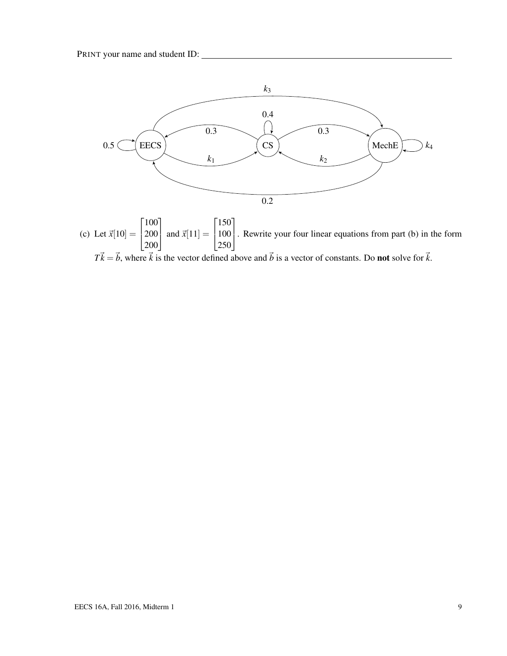

 $T\vec{k} = \vec{b}$ , where  $\vec{k}$  is the vector defined above and  $\vec{b}$  is a vector of constants. Do **not** solve for  $\vec{k}$ .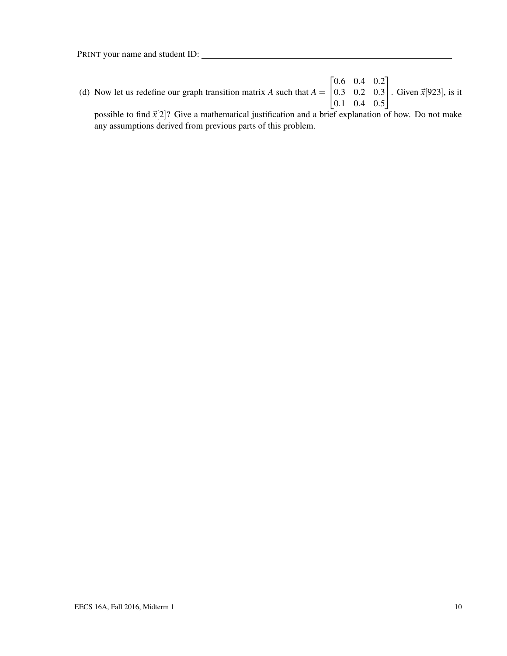(d) Now let us redefine our graph transition matrix *A* such that  $A = \begin{bmatrix} 0.3 & 0.2 & 0.3 \\ 0.1 & 0.4 & 0.6 \end{bmatrix}$ . Given  $\vec{x}[923]$ , is it  $\begin{bmatrix} 0.6 & 0.4 & 0.2 \end{bmatrix}$  $\begin{vmatrix} 0.1 & 0.4 & 0.5 \end{vmatrix}$ 

possible to find  $\vec{x}$ [2]? Give a mathematical justification and a brief explanation of how. Do not make any assumptions derived from previous parts of this problem.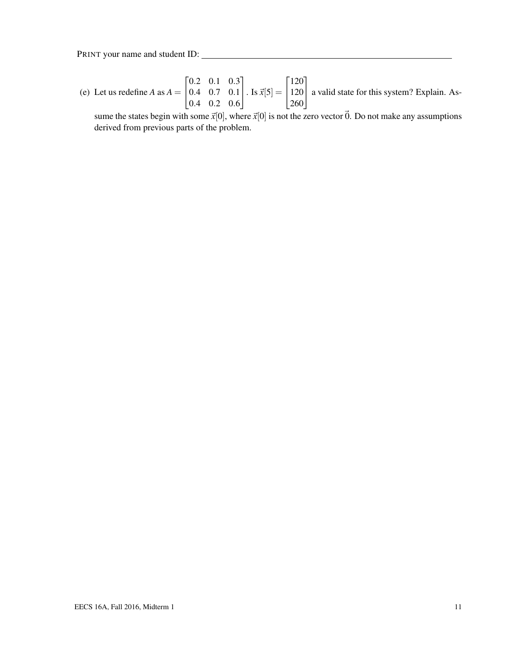(e) Let us redefine *A* as  $A = \begin{bmatrix} 0.4 & 0.7 & 0.1 \\ 0.4 & 0.2 & 0.6 \end{bmatrix}$  $\begin{bmatrix} 0.2 & 0.1 & 0.3 \end{bmatrix}$ 0.4 0.2 0.6  $\left| \cdot \right.$  Is  $\vec{x}[5] = \left| \frac{120}{250} \right|$  $\lceil 120 \rceil$ 260 a valid state for this system? Explain. As-

sume the states begin with some  $\vec{x}[0]$ , where  $\vec{x}[0]$  is not the zero vector  $\vec{0}$ . Do not make any assumptions derived from previous parts of the problem.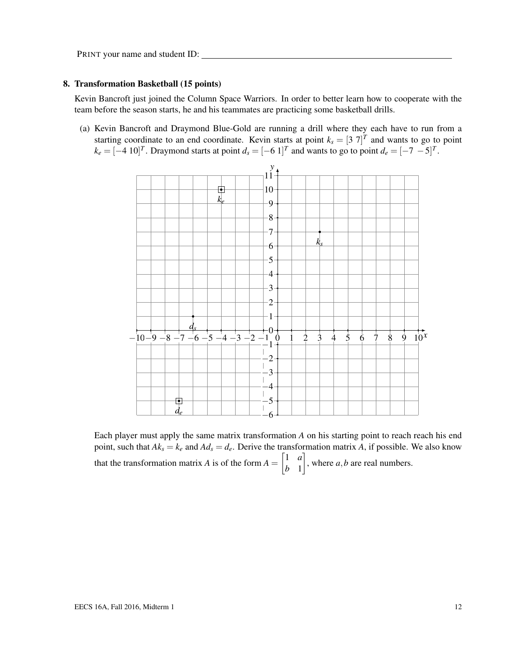#### 8. Transformation Basketball (15 points)

Kevin Bancroft just joined the Column Space Warriors. In order to better learn how to cooperate with the team before the season starts, he and his teammates are practicing some basketball drills.

(a) Kevin Bancroft and Draymond Blue-Gold are running a drill where they each have to run from a starting coordinate to an end coordinate. Kevin starts at point  $k_s = [3 \ 7]^T$  and wants to go to point  $k_e = [-4 \ 10]^T$ . Draymond starts at point  $d_s = [-6 \ 1]^T$  and wants to go to point  $d_e = [-7 \ -5]^T$ .



Each player must apply the same matrix transformation *A* on his starting point to reach reach his end point, such that  $Ak_s = k_e$  and  $Ad_s = d_e$ . Derive the transformation matrix *A*, if possible. We also know that the transformation matrix *A* is of the form  $A = \begin{bmatrix} 1 & a \\ b & 1 \end{bmatrix}$ *b* 1  $\Big]$ , where *a*, *b* are real numbers.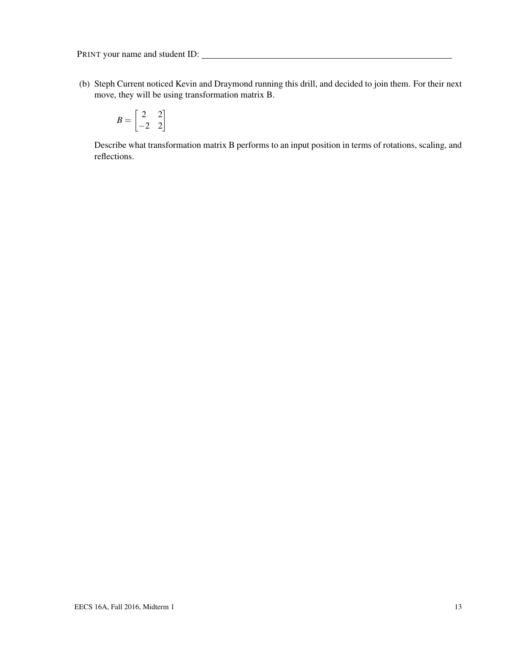(b) Steph Current noticed Kevin and Draymond running this drill, and decided to join them. For their next move, they will be using transformation matrix B.

$$
B = \begin{bmatrix} 2 & 2 \\ -2 & 2 \end{bmatrix}
$$

Describe what transformation matrix B performs to an input position in terms of rotations, scaling, and reflections.